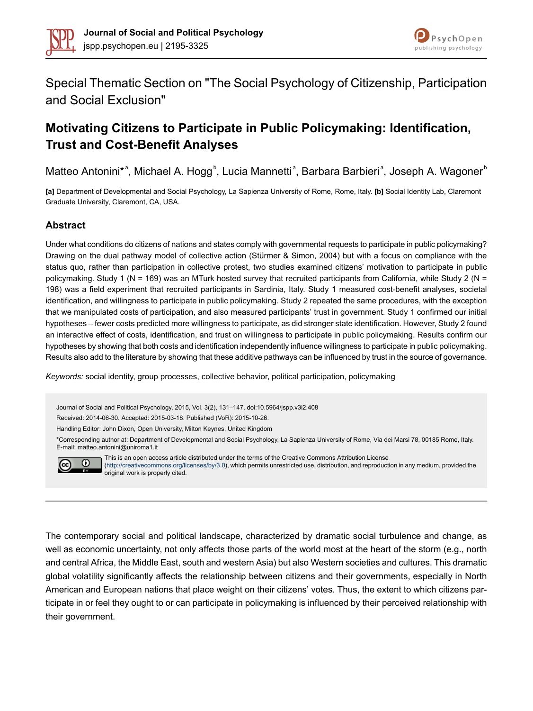



Special Thematic Section on "The Social Psychology of Citizenship, Participation and Social Exclusion"

# **Motivating Citizens to Participate in Public Policymaking: Identification, Trust and Cost-Benefit Analyses**

Matteo Antonini\*<sup>a</sup>, Michael A. Hogg<sup>b</sup>, Lucia Mannetti<sup>a</sup>, Barbara Barbieri<sup>a</sup>, Joseph A. Wagoner<sup>b</sup>

**[a]** Department of Developmental and Social Psychology, La Sapienza University of Rome, Rome, Italy. **[b]** Social Identity Lab, Claremont Graduate University, Claremont, CA, USA.

### **Abstract**

Under what conditions do citizens of nations and states comply with governmental requests to participate in public policymaking? Drawing on the dual pathway model of collective action (Stürmer & Simon, 2004) but with a focus on compliance with the status quo, rather than participation in collective protest, two studies examined citizens' motivation to participate in public policymaking. Study 1 (N = 169) was an MTurk hosted survey that recruited participants from California, while Study 2 (N = 198) was a field experiment that recruited participants in Sardinia, Italy. Study 1 measured cost-benefit analyses, societal identification, and willingness to participate in public policymaking. Study 2 repeated the same procedures, with the exception that we manipulated costs of participation, and also measured participants' trust in government. Study 1 confirmed our initial hypotheses – fewer costs predicted more willingness to participate, as did stronger state identification. However, Study 2 found an interactive effect of costs, identification, and trust on willingness to participate in public policymaking. Results confirm our hypotheses by showing that both costs and identification independently influence willingness to participate in public policymaking. Results also add to the literature by showing that these additive pathways can be influenced by trust in the source of governance.

*Keywords:* social identity, group processes, collective behavior, political participation, policymaking

Journal of Social and Political Psychology, 2015, Vol. 3(2), 131–147, doi:10.5964/jspp.v3i2.408 Received: 2014-06-30. Accepted: 2015-03-18. Published (VoR): 2015-10-26. Handling Editor: John Dixon, Open University, Milton Keynes, United Kingdom \*Corresponding author at: Department of Developmental and Social Psychology, La Sapienza University of Rome, Via dei Marsi 78, 00185 Rome, Italy. E-mail: matteo.antonini@uniroma1.it This is an open access article distributed under the terms of the Creative Commons Attribution License



[\(http://creativecommons.org/licenses/by/3.0\)](http://creativecommons.org/licenses/by/3.0), which permits unrestricted use, distribution, and reproduction in any medium, provided the original work is properly cited.

The contemporary social and political landscape, characterized by dramatic social turbulence and change, as well as economic uncertainty, not only affects those parts of the world most at the heart of the storm (e.g., north and central Africa, the Middle East, south and western Asia) but also Western societies and cultures. This dramatic global volatility significantly affects the relationship between citizens and their governments, especially in North American and European nations that place weight on their citizens' votes. Thus, the extent to which citizens participate in or feel they ought to or can participate in policymaking is influenced by their perceived relationship with their government.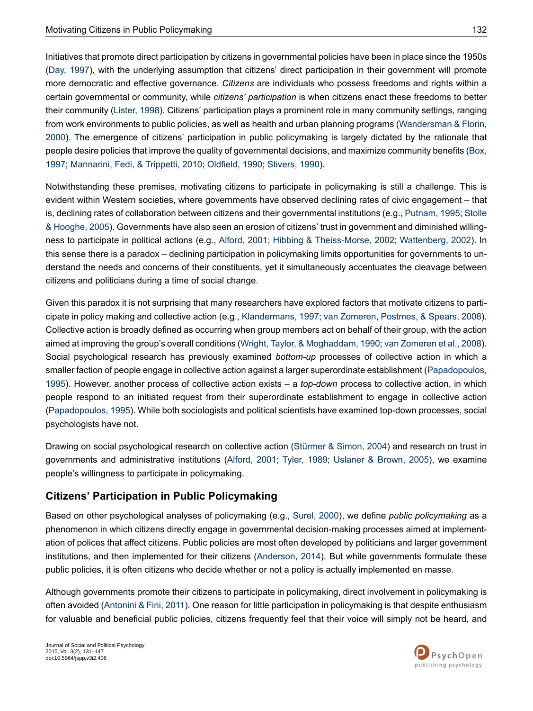Initiatives that promote direct participation by citizens in governmental policies have been in place since the 1950s (Day, [1997](#page-13-0)), with the underlying assumption that citizens' direct participation in their government will promote more democratic and effective governance. *Citizens* are individuals who possess freedoms and rights within a certain governmental or community, while *citizens' participation* is when citizens enact these freedoms to better their community [\(Lister,](#page-14-0) 1998). Citizens' participation plays a prominent role in many community settings, ranging from work environments to public policies, as well as health and urban planning programs [\(Wandersman](#page-16-0) & Florin, [2000](#page-16-0)). The emergence of citizens' participation in public policymaking is largely dictated by the rationale that people desire policies that improve the quality of governmental decisions, and maximize community benefits [\(Box,](#page-13-1) [1997](#page-13-1); [Mannarini,](#page-15-0) Fedi, & Trippetti, 2010; [Oldfield,](#page-15-1) 1990; [Stivers,](#page-15-2) 1990).

Notwithstanding these premises, motivating citizens to participate in policymaking is still a challenge. This is evident within Western societies, where governments have observed declining rates of civic engagement – that is, declining rates of collaboration between citizens and their governmental institutions (e.g., [Putnam,](#page-15-3) 1995; [Stolle](#page-15-4) & [Hooghe,](#page-15-4) 2005). Governments have also seen an erosion of citizens' trust in government and diminished willingness to participate in political actions (e.g., [Alford,](#page-13-2) 2001; Hibbing & [Theiss-Morse,](#page-14-1) 2002; [Wattenberg,](#page-16-1) 2002). In this sense there is a paradox – declining participation in policymaking limits opportunities for governments to understand the needs and concerns of their constituents, yet it simultaneously accentuates the cleavage between citizens and politicians during a time of social change.

Given this paradox it is not surprising that many researchers have explored factors that motivate citizens to participate in policy making and collective action (e.g., [Klandermans,](#page-14-2) 1997; van [Zomeren,](#page-16-2) Postmes, & Spears, 2008). Collective action is broadly defined as occurring when group members act on behalf of their group, with the action aimed at improving the group's overall conditions (Wright, Taylor, & [Moghaddam,](#page-16-3) 1990; van [Zomeren](#page-16-2) et al., 2008). Social psychological research has previously examined *bottom-up* processes of collective action in which a smaller faction of people engage in collective action against a larger superordinate establishment ([Papadopoulos,](#page-15-5) [1995](#page-15-5)). However, another process of collective action exists – a *top-down* process to collective action, in which people respond to an initiated request from their superordinate establishment to engage in collective action [\(Papadopoulos,](#page-15-5) 1995). While both sociologists and political scientists have examined top-down processes, social psychologists have not.

Drawing on social psychological research on collective action [\(Stürmer](#page-15-6) & Simon, 2004) and research on trust in governments and administrative institutions ([Alford,](#page-13-2) 2001; [Tyler,](#page-16-4) 1989; [Uslaner](#page-16-5) & Brown, 2005), we examine people's willingness to participate in policymaking.

# **Citizens' Participation in Public Policymaking**

Based on other psychological analyses of policymaking (e.g., [Surel,](#page-15-7) 2000), we define *public policymaking* as a phenomenon in which citizens directly engage in governmental decision-making processes aimed at implementation of polices that affect citizens. Public policies are most often developed by politicians and larger government institutions, and then implemented for their citizens [\(Anderson,](#page-13-3) 2014). But while governments formulate these public policies, it is often citizens who decide whether or not a policy is actually implemented en masse.

Although governments promote their citizens to participate in policymaking, direct involvement in policymaking is often avoided [\(Antonini](#page-13-4) & Fini, 2011). One reason for little participation in policymaking is that despite enthusiasm for valuable and beneficial public policies, citizens frequently feel that their voice will simply not be heard, and

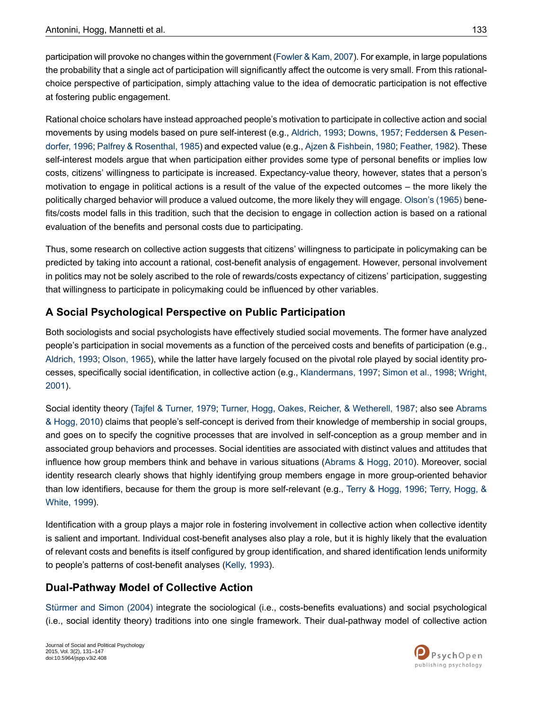participation will provoke no changes within the government (Fowler & Kam, 2007). For example, in large populations the probability that a single act of participation will significantly affect the outcome is very small. From this rationalchoice perspective of participation, simply attaching value to the idea of democratic participation is not effective at fostering public engagement.

Rational choice scholars have instead approached people's motivation to participate in collective action and social movements by using models based on pure self-interest (e.g., [Aldrich,](#page-13-5) 1993; [Downs,](#page-13-6) 1957; [Feddersen](#page-13-7) & Pesen[dorfer,](#page-13-7) 1996; Palfrey & [Rosenthal,](#page-15-8) 1985) and expected value (e.g., Ajzen & [Fishbein,](#page-13-8) 1980; [Feather,](#page-13-9) 1982). These self-interest models argue that when participation either provides some type of personal benefits or implies low costs, citizens' willingness to participate is increased. Expectancy-value theory, however, states that a person's motivation to engage in political actions is a result of the value of the expected outcomes – the more likely the politically charged behavior will produce a valued outcome, the more likely they will engage. [Olson's](#page-15-9) (1965) benefits/costs model falls in this tradition, such that the decision to engage in collection action is based on a rational evaluation of the benefits and personal costs due to participating.

Thus, some research on collective action suggests that citizens' willingness to participate in policymaking can be predicted by taking into account a rational, cost-benefit analysis of engagement. However, personal involvement in politics may not be solely ascribed to the role of rewards/costs expectancy of citizens' participation, suggesting that willingness to participate in policymaking could be influenced by other variables.

# **A Social Psychological Perspective on Public Participation**

Both sociologists and social psychologists have effectively studied social movements. The former have analyzed people's participation in social movements as a function of the perceived costs and benefits of participation (e.g., [Aldrich,](#page-13-5) 1993; [Olson,](#page-15-9) 1965), while the latter have largely focused on the pivotal role played by social identity processes, specifically social identification, in collective action (e.g., [Klandermans,](#page-14-2) 1997; [Simon](#page-15-10) et al., 1998; [Wright,](#page-16-6) [2001](#page-16-6)).

Social identity theory (Tajfel & [Turner,](#page-15-11) 1979; Turner, Hogg, Oakes, Reicher, & [Wetherell,](#page-16-7) 1987; also see [Abrams](#page-13-10) & [Hogg,](#page-13-10) 2010) claims that people's self-concept is derived from their knowledge of membership in social groups, and goes on to specify the cognitive processes that are involved in self-conception as a group member and in associated group behaviors and processes. Social identities are associated with distinct values and attitudes that influence how group members think and behave in various situations [\(Abrams](#page-13-10) & Hogg, 2010). Moreover, social identity research clearly shows that highly identifying group members engage in more group-oriented behavior than low identifiers, because for them the group is more self-relevant (e.g., Terry & [Hogg,](#page-16-8) 1996; Terry, [Hogg,](#page-16-9) & [White,](#page-16-9) 1999).

Identification with a group plays a major role in fostering involvement in collective action when collective identity is salient and important. Individual cost-benefit analyses also play a role, but it is highly likely that the evaluation of relevant costs and benefits is itself configured by group identification, and shared identification lends uniformity to people's patterns of cost-benefit analyses ([Kelly,](#page-14-4) 1993).

# **Dual-Pathway Model of Collective Action**

[Stürmer](#page-15-6) and Simon (2004) integrate the sociological (i.e., costs-benefits evaluations) and social psychological (i.e., social identity theory) traditions into one single framework. Their dual-pathway model of collective action

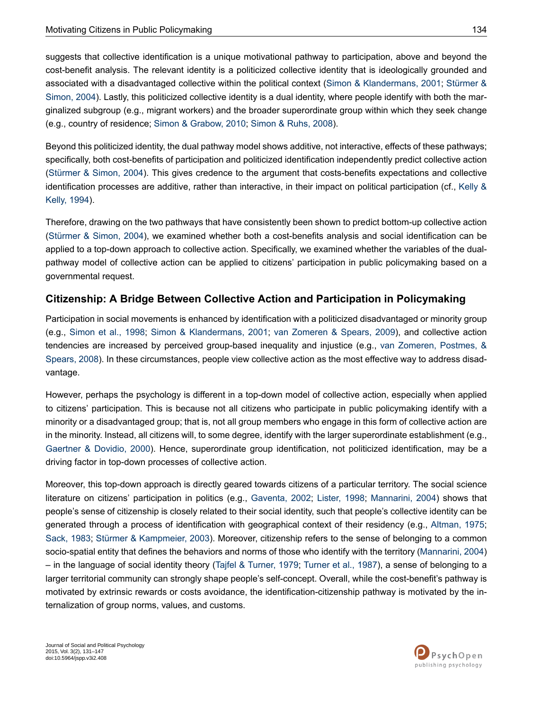suggests that collective identification is a unique motivational pathway to participation, above and beyond the cost-benefit analysis. The relevant identity is a politicized collective identity that is ideologically grounded and associated with a disadvantaged collective within the political context (Simon & [Klandermans,](#page-15-12) 2001; [Stürmer](#page-15-6) & [Simon,](#page-15-6) 2004). Lastly, this politicized collective identity is a dual identity, where people identify with both the marginalized subgroup (e.g., migrant workers) and the broader superordinate group within which they seek change (e.g., country of residence; Simon & [Grabow,](#page-15-13) 2010; [Simon](#page-15-14) & Ruhs, 2008).

Beyond this politicized identity, the dual pathway model shows additive, not interactive, effects of these pathways; specifically, both cost-benefits of participation and politicized identification independently predict collective action [\(Stürmer](#page-15-6) & Simon, 2004). This gives credence to the argument that costs-benefits expectations and collective identification processes are additive, rather than interactive, in their impact on political participation (cf., [Kelly](#page-14-5) & [Kelly,](#page-14-5) 1994).

Therefore, drawing on the two pathways that have consistently been shown to predict bottom-up collective action [\(Stürmer](#page-15-6) & Simon, 2004), we examined whether both a cost-benefits analysis and social identification can be applied to a top-down approach to collective action. Specifically, we examined whether the variables of the dualpathway model of collective action can be applied to citizens' participation in public policymaking based on a governmental request.

## **Citizenship: A Bridge Between Collective Action and Participation in Policymaking**

Participation in social movements is enhanced by identification with a politicized disadvantaged or minority group (e.g., [Simon](#page-15-10) et al., 1998; Simon & [Klandermans,](#page-15-12) 2001; van [Zomeren](#page-16-10) & Spears, 2009), and collective action tendencies are increased by perceived group-based inequality and injustice (e.g., van [Zomeren,](#page-16-2) Postmes, & [Spears,](#page-16-2) 2008). In these circumstances, people view collective action as the most effective way to address disadvantage.

However, perhaps the psychology is different in a top-down model of collective action, especially when applied to citizens' participation. This is because not all citizens who participate in public policymaking identify with a minority or a disadvantaged group; that is, not all group members who engage in this form of collective action are in the minority. Instead, all citizens will, to some degree, identify with the larger superordinate establishment (e.g., [Gaertner](#page-14-6) & Dovidio, 2000). Hence, superordinate group identification, not politicized identification, may be a driving factor in top-down processes of collective action.

Moreover, this top-down approach is directly geared towards citizens of a particular territory. The social science literature on citizens' participation in politics (e.g., [Gaventa,](#page-14-7) 2002; [Lister,](#page-14-0) 1998; [Mannarini,](#page-14-8) 2004) shows that people's sense of citizenship is closely related to their social identity, such that people's collective identity can be generated through a process of identification with geographical context of their residency (e.g., [Altman,](#page-13-11) 1975; [Sack,](#page-15-15) 1983; Stürmer & [Kampmeier,](#page-15-16) 2003). Moreover, citizenship refers to the sense of belonging to a common socio-spatial entity that defines the behaviors and norms of those who identify with the territory ([Mannarini,](#page-14-8) 2004) – in the language of social identity theory (Tajfel & [Turner,](#page-15-11) 1979; [Turner](#page-16-7) et al., 1987), a sense of belonging to a larger territorial community can strongly shape people's self-concept. Overall, while the cost-benefit's pathway is motivated by extrinsic rewards or costs avoidance, the identification-citizenship pathway is motivated by the internalization of group norms, values, and customs.

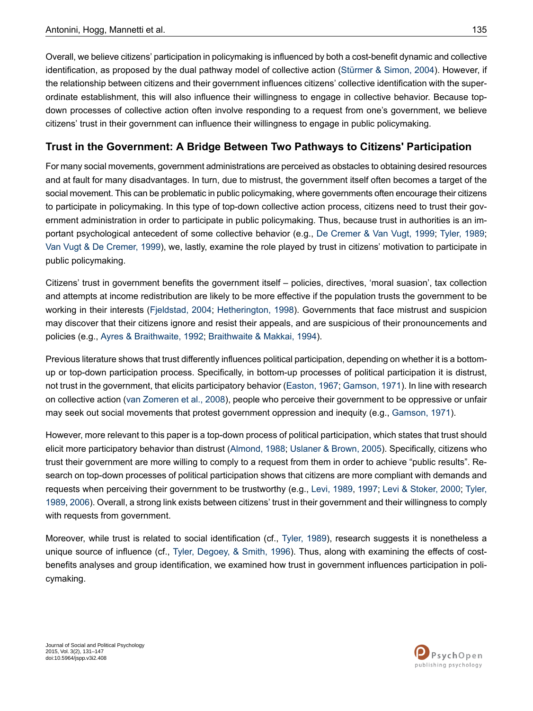Overall, we believe citizens' participation in policymaking is influenced by both a cost-benefit dynamic and collective identification, as proposed by the dual pathway model of collective action [\(Stürmer](#page-15-6) & Simon, 2004). However, if the relationship between citizens and their government influences citizens' collective identification with the superordinate establishment, this will also influence their willingness to engage in collective behavior. Because topdown processes of collective action often involve responding to a request from one's government, we believe citizens' trust in their government can influence their willingness to engage in public policymaking.

## **Trust in the Government: A Bridge Between Two Pathways to Citizens' Participation**

For many social movements, government administrations are perceived as obstacles to obtaining desired resources and at fault for many disadvantages. In turn, due to mistrust, the government itself often becomes a target of the social movement. This can be problematic in public policymaking, where governments often encourage their citizens to participate in policymaking. In this type of top-down collective action process, citizens need to trust their government administration in order to participate in public policymaking. Thus, because trust in authorities is an important psychological antecedent of some collective behavior (e.g., De [Cremer](#page-13-12) & Van Vugt, 1999; [Tyler,](#page-16-4) 1989; Van Vugt & De [Cremer,](#page-16-11) 1999), we, lastly, examine the role played by trust in citizens' motivation to participate in public policymaking.

Citizens' trust in government benefits the government itself – policies, directives, 'moral suasion', tax collection and attempts at income redistribution are likely to be more effective if the population trusts the government to be working in their interests ([Fjeldstad,](#page-14-9) 2004; [Hetherington,](#page-14-10) 1998). Governments that face mistrust and suspicion may discover that their citizens ignore and resist their appeals, and are suspicious of their pronouncements and policies (e.g., Ayres & [Braithwaite,](#page-13-13) 1992; [Braithwaite](#page-13-14) & Makkai, 1994).

Previous literature shows that trust differently influences political participation, depending on whether it is a bottomup or top-down participation process. Specifically, in bottom-up processes of political participation it is distrust, not trust in the government, that elicits participatory behavior ([Easton,](#page-13-15) 1967; [Gamson,](#page-14-11) 1971). In line with research on collective action (van [Zomeren](#page-16-2) et al., 2008), people who perceive their government to be oppressive or unfair may seek out social movements that protest government oppression and inequity (e.g., [Gamson,](#page-14-11) 1971).

However, more relevant to this paper is a top-down process of political participation, which states that trust should elicit more participatory behavior than distrust [\(Almond,](#page-13-16) 1988; [Uslaner](#page-16-5) & Brown, 2005). Specifically, citizens who trust their government are more willing to comply to a request from them in order to achieve "public results". Research on top-down processes of political participation shows that citizens are more compliant with demands and requests when perceiving their government to be trustworthy (e.g., Levi, [1989](#page-14-12), [1997](#page-14-13); Levi & [Stoker,](#page-14-14) 2000; [Tyler,](#page-16-4) [1989](#page-16-4), [2006](#page-16-12)). Overall, a strong link exists between citizens' trust in their government and their willingness to comply with requests from government.

Moreover, while trust is related to social identification (cf., [Tyler,](#page-16-4) 1989), research suggests it is nonetheless a unique source of influence (cf., Tyler, [Degoey,](#page-16-13) & Smith, 1996). Thus, along with examining the effects of costbenefits analyses and group identification, we examined how trust in government influences participation in policymaking.

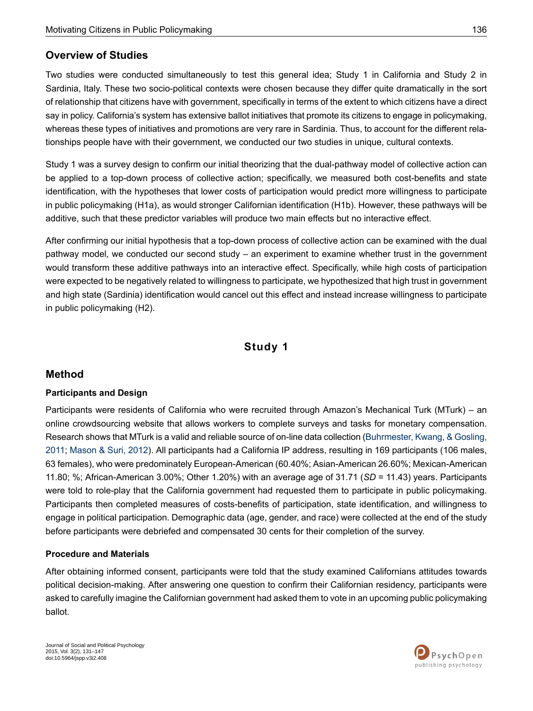## **Overview of Studies**

Two studies were conducted simultaneously to test this general idea; Study 1 in California and Study 2 in Sardinia, Italy. These two socio-political contexts were chosen because they differ quite dramatically in the sort of relationship that citizens have with government, specifically in terms of the extent to which citizens have a direct say in policy. California's system has extensive ballot initiatives that promote its citizens to engage in policymaking, whereas these types of initiatives and promotions are very rare in Sardinia. Thus, to account for the different relationships people have with their government, we conducted our two studies in unique, cultural contexts.

Study 1 was a survey design to confirm our initial theorizing that the dual-pathway model of collective action can be applied to a top-down process of collective action; specifically, we measured both cost-benefits and state identification, with the hypotheses that lower costs of participation would predict more willingness to participate in public policymaking (H1a), as would stronger Californian identification (H1b). However, these pathways will be additive, such that these predictor variables will produce two main effects but no interactive effect.

After confirming our initial hypothesis that a top-down process of collective action can be examined with the dual pathway model, we conducted our second study – an experiment to examine whether trust in the government would transform these additive pathways into an interactive effect. Specifically, while high costs of participation were expected to be negatively related to willingness to participate, we hypothesized that high trust in government and high state (Sardinia) identification would cancel out this effect and instead increase willingness to participate in public policymaking (H2).

## **Study 1**

### **Method**

### **Participants and Design**

Participants were residents of California who were recruited through Amazon's Mechanical Turk (MTurk) – an online crowdsourcing website that allows workers to complete surveys and tasks for monetary compensation. Research shows that MTurk is a valid and reliable source of on-line data collection ([Buhrmester,](#page-13-17) Kwang, & Gosling, [2011;](#page-13-17) [Mason](#page-15-17) & Suri, 2012). All participants had a California IP address, resulting in 169 participants (106 males, 63 females), who were predominately European-American (60.40%; Asian-American 26.60%; Mexican-American 11.80; %; African-American 3.00%; Other 1.20%) with an average age of 31.71 (*SD* = 11.43) years. Participants were told to role-play that the California government had requested them to participate in public policymaking. Participants then completed measures of costs-benefits of participation, state identification, and willingness to engage in political participation. Demographic data (age, gender, and race) were collected at the end of the study before participants were debriefed and compensated 30 cents for their completion of the survey.

### **Procedure and Materials**

After obtaining informed consent, participants were told that the study examined Californians attitudes towards political decision-making. After answering one question to confirm their Californian residency, participants were asked to carefully imagine the Californian government had asked them to vote in an upcoming public policymaking ballot.

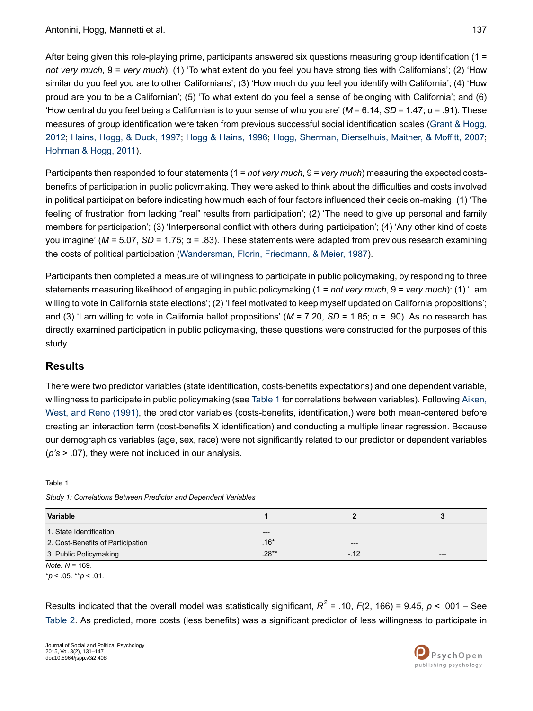After being given this role-playing prime, participants answered six questions measuring group identification (1 = *not very much*, 9 = *very much*): (1) 'To what extent do you feel you have strong ties with Californians'; (2) 'How similar do you feel you are to other Californians'; (3) 'How much do you feel you identify with California'; (4) 'How proud are you to be a Californian'; (5) 'To what extent do you feel a sense of belonging with California'; and (6) 'How central do you feel being a Californian is to your sense of who you are' (*M* = 6.14, *SD* = 1.47; α = .91). These measures of group identification were taken from previous successful social identification scales (Grant & [Hogg,](#page-14-15) [2012](#page-14-15); [Hains,](#page-14-16) Hogg, & Duck, 1997; Hogg & [Hains,](#page-14-17) 1996; Hogg, Sherman, [Dierselhuis,](#page-14-18) Maitner, & Moffitt, 2007; [Hohman](#page-14-19) & Hogg, 2011).

Participants then responded to four statements (1 = *not very much*, 9 = *very much*) measuring the expected costsbenefits of participation in public policymaking. They were asked to think about the difficulties and costs involved in political participation before indicating how much each of four factors influenced their decision-making: (1) 'The feeling of frustration from lacking "real" results from participation'; (2) 'The need to give up personal and family members for participation'; (3) 'Interpersonal conflict with others during participation'; (4) 'Any other kind of costs you imagine' (*M* = 5.07, *SD* = 1.75; α = .83). These statements were adapted from previous research examining the costs of political participation ([Wandersman,](#page-16-14) Florin, Friedmann, & Meier, 1987).

Participants then completed a measure of willingness to participate in public policymaking, by responding to three statements measuring likelihood of engaging in public policymaking (1 = *not very much*, 9 = *very much*): (1) 'I am willing to vote in California state elections'; (2) 'I feel motivated to keep myself updated on California propositions'; and (3) 'I am willing to vote in California ballot propositions' (*M* = 7.20, *SD* = 1.85; α = .90). As no research has directly examined participation in public policymaking, these questions were constructed for the purposes of this study.

# **Results**

There were two predictor variables (state identification, costs-benefits expectations) and one dependent variable, willingness to participate in public policymaking (see [Table](#page-6-0) 1 for correlations between variables). Following [Aiken,](#page-13-18) West, and Reno [\(1991\)](#page-13-18), the predictor variables (costs-benefits, identification,) were both mean-centered before creating an interaction term (cost-benefits X identification) and conducting a multiple linear regression. Because our demographics variables (age, sex, race) were not significantly related to our predictor or dependent variables (*p's* > .07), they were not included in our analysis.

<span id="page-6-0"></span>Table 1

| Study 1: Correlations Between Predictor and Dependent Variables |  |  |
|-----------------------------------------------------------------|--|--|
|-----------------------------------------------------------------|--|--|

| Variable                          |         |       |       |
|-----------------------------------|---------|-------|-------|
| 1. State Identification           | $---$   |       |       |
| 2. Cost-Benefits of Participation | $.16*$  | $---$ |       |
| 3. Public Policymaking            | $.28**$ | $-12$ | $---$ |

*Note. N* = 169.

\**p* < .05. \*\**p* < .01.

Results indicated that the overall model was statistically significant, *R* 2 = .10, *F*(2, 166) = 9.45, *p* < .001 – See [Table](#page-7-0) 2. As predicted, more costs (less benefits) was a significant predictor of less willingness to participate in

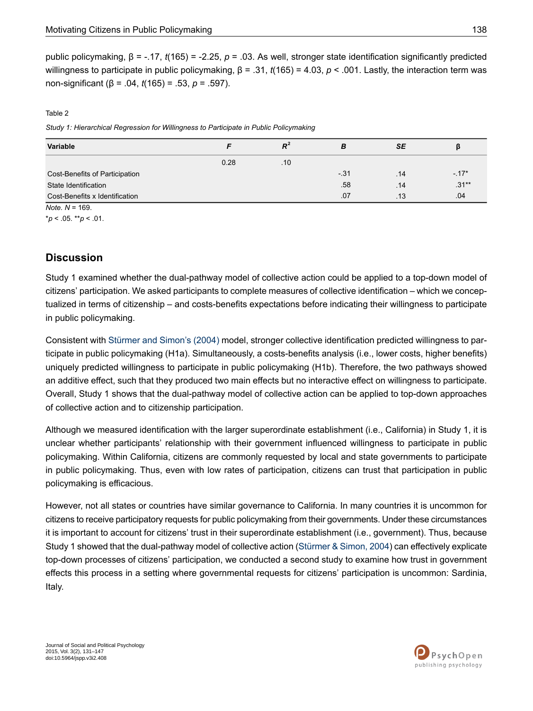public policymaking, β = -.17, *t*(165) = -2.25, *p* = .03. As well, stronger state identification significantly predicted willingness to participate in public policymaking, β = .31, *t*(165) = 4.03, *p* < .001. Lastly, the interaction term was non-significant (β = .04, *t*(165) = .53, *p* = .597).

#### <span id="page-7-0"></span>Table 2

*Study 1: Hierarchical Regression for Willingness to Participate in Public Policymaking*

| <b>Variable</b>                |      | $R^{\prime}$ | В     | SE  | ß       |
|--------------------------------|------|--------------|-------|-----|---------|
|                                | 0.28 | .10          |       |     |         |
| Cost-Benefits of Participation |      |              | $-31$ | .14 | $-17*$  |
| State Identification           |      |              | .58   | .14 | $.31**$ |
| Cost-Benefits x Identification |      |              | .07   | .13 | .04     |

*Note. N* = 169.

\**p* < .05. \*\**p* < .01.

## **Discussion**

Study 1 examined whether the dual-pathway model of collective action could be applied to a top-down model of citizens' participation. We asked participants to complete measures of collective identification – which we conceptualized in terms of citizenship – and costs-benefits expectations before indicating their willingness to participate in public policymaking.

Consistent with [Stürmer](#page-15-6) and Simon's (2004) model, stronger collective identification predicted willingness to participate in public policymaking (H1a). Simultaneously, a costs-benefits analysis (i.e., lower costs, higher benefits) uniquely predicted willingness to participate in public policymaking (H1b). Therefore, the two pathways showed an additive effect, such that they produced two main effects but no interactive effect on willingness to participate. Overall, Study 1 shows that the dual-pathway model of collective action can be applied to top-down approaches of collective action and to citizenship participation.

Although we measured identification with the larger superordinate establishment (i.e., California) in Study 1, it is unclear whether participants' relationship with their government influenced willingness to participate in public policymaking. Within California, citizens are commonly requested by local and state governments to participate in public policymaking. Thus, even with low rates of participation, citizens can trust that participation in public policymaking is efficacious.

However, not all states or countries have similar governance to California. In many countries it is uncommon for citizens to receive participatory requests for public policymaking from their governments. Under these circumstances it is important to account for citizens' trust in their superordinate establishment (i.e., government). Thus, because Study 1 showed that the dual-pathway model of collective action ([Stürmer](#page-15-6) & Simon, 2004) can effectively explicate top-down processes of citizens' participation, we conducted a second study to examine how trust in government effects this process in a setting where governmental requests for citizens' participation is uncommon: Sardinia, Italy.

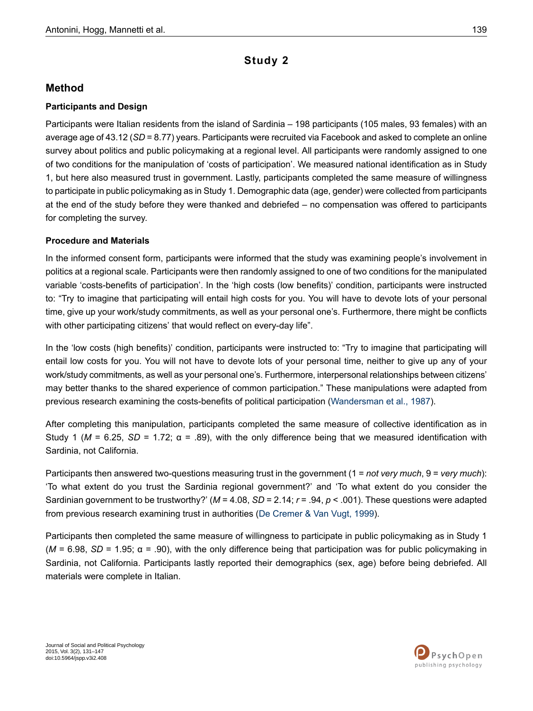# **Study 2**

## **Method**

### **Participants and Design**

Participants were Italian residents from the island of Sardinia – 198 participants (105 males, 93 females) with an average age of 43.12 (*SD* = 8.77) years. Participants were recruited via Facebook and asked to complete an online survey about politics and public policymaking at a regional level. All participants were randomly assigned to one of two conditions for the manipulation of 'costs of participation'. We measured national identification as in Study 1, but here also measured trust in government. Lastly, participants completed the same measure of willingness to participate in public policymaking as in Study 1. Demographic data (age, gender) were collected from participants at the end of the study before they were thanked and debriefed – no compensation was offered to participants for completing the survey.

### **Procedure and Materials**

In the informed consent form, participants were informed that the study was examining people's involvement in politics at a regional scale. Participants were then randomly assigned to one of two conditions for the manipulated variable 'costs-benefits of participation'. In the 'high costs (low benefits)' condition, participants were instructed to: "Try to imagine that participating will entail high costs for you. You will have to devote lots of your personal time, give up your work/study commitments, as well as your personal one's. Furthermore, there might be conflicts with other participating citizens' that would reflect on every-day life".

In the 'low costs (high benefits)' condition, participants were instructed to: "Try to imagine that participating will entail low costs for you. You will not have to devote lots of your personal time, neither to give up any of your work/study commitments, as well as your personal one's. Furthermore, interpersonal relationships between citizens' may better thanks to the shared experience of common participation." These manipulations were adapted from previous research examining the costs-benefits of political participation ([Wandersman](#page-16-14) et al., 1987).

After completing this manipulation, participants completed the same measure of collective identification as in Study 1 ( $M = 6.25$ ,  $SD = 1.72$ ;  $\alpha = .89$ ), with the only difference being that we measured identification with Sardinia, not California.

Participants then answered two-questions measuring trust in the government (1 = *not very much*, 9 = *very much*): 'To what extent do you trust the Sardinia regional government?' and 'To what extent do you consider the Sardinian government to be trustworthy?' (*M* = 4.08, *SD* = 2.14; *r* = .94, *p* < .001). These questions were adapted from previous research examining trust in authorities (De [Cremer](#page-13-12) & Van Vugt, 1999).

Participants then completed the same measure of willingness to participate in public policymaking as in Study 1 ( $M = 6.98$ , *SD* = 1.95;  $\alpha = .90$ ), with the only difference being that participation was for public policymaking in Sardinia, not California. Participants lastly reported their demographics (sex, age) before being debriefed. All materials were complete in Italian.

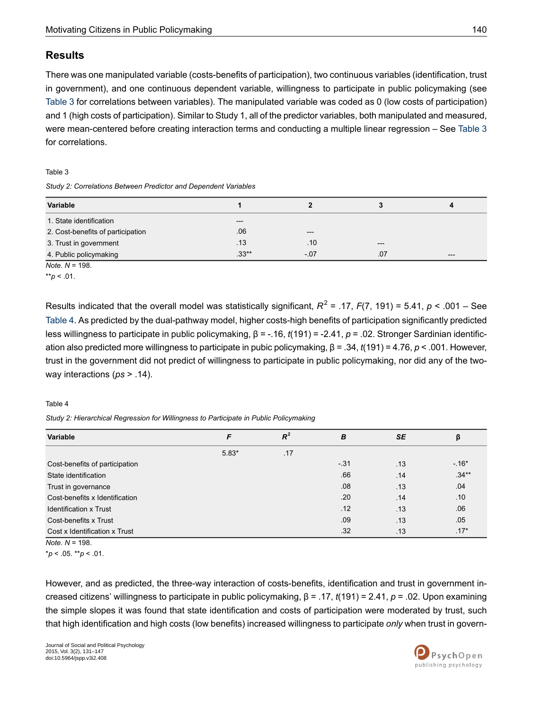## **Results**

There was one manipulated variable (costs-benefits of participation), two continuous variables (identification, trust in government), and one continuous dependent variable, willingness to participate in public policymaking (see [Table](#page-9-0) 3 for correlations between variables). The manipulated variable was coded as 0 (low costs of participation) and 1 (high costs of participation). Similar to Study 1, all of the predictor variables, both manipulated and measured, were mean-centered before creating interaction terms and conducting a multiple linear regression – See [Table](#page-9-0) 3 for correlations.

#### <span id="page-9-0"></span>Table 3

*Study 2: Correlations Between Predictor and Dependent Variables*

| <b>Variable</b>                   |                  |        |       | Δ     |
|-----------------------------------|------------------|--------|-------|-------|
| 1. State identification           | $---$            |        |       |       |
| 2. Cost-benefits of participation | .06              | $---$  |       |       |
| 3. Trust in government            | .13 <sub>1</sub> | .10    | $---$ |       |
| 4. Public policymaking            | $.33**$          | $-.07$ | .07   | $---$ |

*Note. N* = 198.

Results indicated that the overall model was statistically significant, *R* 2 = .17, *F*(7, 191) = 5.41, *p* < .001 – See [Table](#page-9-1) 4. As predicted by the dual-pathway model, higher costs-high benefits of participation significantly predicted less willingness to participate in public policymaking, β = -.16, *t*(191) = -2.41, *p* = .02. Stronger Sardinian identification also predicted more willingness to participate in pubic policymaking, β = .34, *t*(191) = 4.76, *p* < .001. However, trust in the government did not predict of willingness to participate in public policymaking, nor did any of the twoway interactions (*ps* > .14).

#### <span id="page-9-1"></span>Table 4

*Study 2: Hierarchical Regression for Willingness to Participate in Public Policymaking*

| Variable                                                                                                                                                                                                                                                                                                                           | F       | $R^2$ | B     | <b>SE</b> | β       |
|------------------------------------------------------------------------------------------------------------------------------------------------------------------------------------------------------------------------------------------------------------------------------------------------------------------------------------|---------|-------|-------|-----------|---------|
|                                                                                                                                                                                                                                                                                                                                    | $5.83*$ | .17   |       |           |         |
| Cost-benefits of participation                                                                                                                                                                                                                                                                                                     |         |       | $-31$ | .13       | $-.16*$ |
| State identification                                                                                                                                                                                                                                                                                                               |         |       | .66   | .14       | $.34**$ |
| Trust in governance                                                                                                                                                                                                                                                                                                                |         |       | .08   | .13       | .04     |
| Cost-benefits x Identification                                                                                                                                                                                                                                                                                                     |         |       | .20   | .14       | .10     |
| <b>Identification x Trust</b>                                                                                                                                                                                                                                                                                                      |         |       | .12   | .13       | .06     |
| Cost-benefits x Trust                                                                                                                                                                                                                                                                                                              |         |       | .09   | .13       | .05     |
| Cost x Identification x Trust                                                                                                                                                                                                                                                                                                      |         |       | .32   | .13       | $.17*$  |
| $\mathbf{A}$ $\mathbf{A}$ $\mathbf{A}$ $\mathbf{A}$ $\mathbf{A}$ $\mathbf{A}$ $\mathbf{A}$ $\mathbf{A}$ $\mathbf{A}$ $\mathbf{A}$ $\mathbf{A}$ $\mathbf{A}$ $\mathbf{A}$ $\mathbf{A}$ $\mathbf{A}$ $\mathbf{A}$ $\mathbf{A}$ $\mathbf{A}$ $\mathbf{A}$ $\mathbf{A}$ $\mathbf{A}$ $\mathbf{A}$ $\mathbf{A}$ $\mathbf{A}$ $\mathbf{$ |         |       |       |           |         |

*Note. N* = 198.

\**p* < .05. \*\**p* < .01.

However, and as predicted, the three-way interaction of costs-benefits, identification and trust in government increased citizens' willingness to participate in public policymaking, β = .17, *t*(191) = 2.41, *p* = .02. Upon examining the simple slopes it was found that state identification and costs of participation were moderated by trust, such that high identification and high costs (low benefits) increased willingness to participate *only* when trust in govern-



 $*$ *r* $p$  < .01.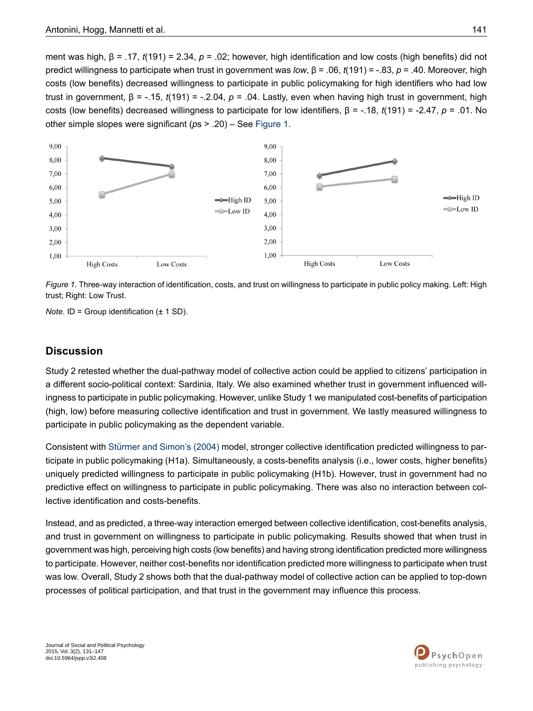ment was high, β = .17, *t*(191) = 2.34, *p* = .02; however, high identification and low costs (high benefits) did not predict willingness to participate when trust in government was *low*, β = .06, *t*(191) = -.83, *p* = .40. Moreover, high costs (low benefits) decreased willingness to participate in public policymaking for high identifiers who had low trust in government, β = -.15, *t*(191) = -.2.04, *p* = .04. Lastly, even when having high trust in government, high costs (low benefits) decreased willingness to participate for low identifiers, β = -.18, *t*(191) = -2.47, *p* = .01. No other simple slopes were significant (*p*s > .20) – See [Figure](#page-10-0) 1.

<span id="page-10-0"></span>

*Figure 1.* Three-way interaction of identification, costs, and trust on willingness to participate in public policy making. Left: High trust; Right: Low Trust.

*Note.* ID = Group identification (± 1 SD).

### **Discussion**

Study 2 retested whether the dual-pathway model of collective action could be applied to citizens' participation in a different socio-political context: Sardinia, Italy. We also examined whether trust in government influenced willingness to participate in public policymaking. However, unlike Study 1 we manipulated cost-benefits of participation (high, low) before measuring collective identification and trust in government. We lastly measured willingness to participate in public policymaking as the dependent variable.

Consistent with [Stürmer](#page-15-6) and Simon's (2004) model, stronger collective identification predicted willingness to participate in public policymaking (H1a). Simultaneously, a costs-benefits analysis (i.e., lower costs, higher benefits) uniquely predicted willingness to participate in public policymaking (H1b). However, trust in government had no predictive effect on willingness to participate in public policymaking. There was also no interaction between collective identification and costs-benefits.

Instead, and as predicted, a three-way interaction emerged between collective identification, cost-benefits analysis, and trust in government on willingness to participate in public policymaking. Results showed that when trust in government was high, perceiving high costs (low benefits) and having strong identification predicted more willingness to participate. However, neither cost-benefits nor identification predicted more willingness to participate when trust was low. Overall, Study 2 shows both that the dual-pathway model of collective action can be applied to top-down processes of political participation, and that trust in the government may influence this process.

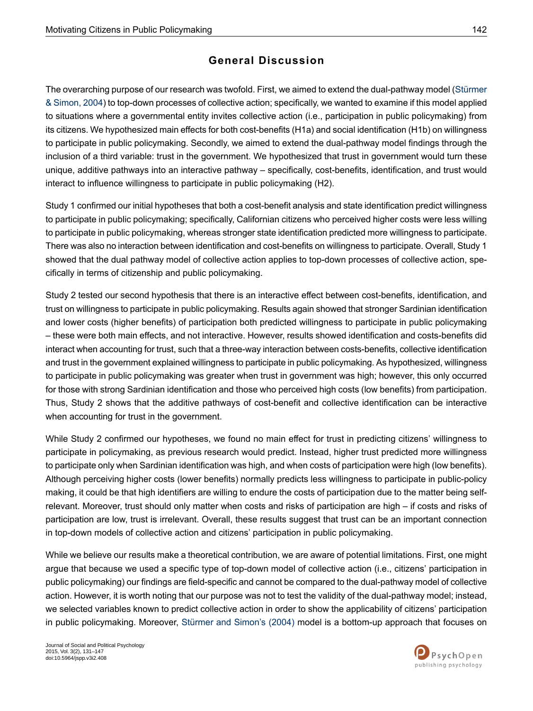# **General Discussion**

The overarching purpose of our research was twofold. First, we aimed to extend the dual-pathway model ([Stürmer](#page-15-6) & [Simon,](#page-15-6) 2004) to top-down processes of collective action; specifically, we wanted to examine if this model applied to situations where a governmental entity invites collective action (i.e., participation in public policymaking) from its citizens. We hypothesized main effects for both cost-benefits (H1a) and social identification (H1b) on willingness to participate in public policymaking. Secondly, we aimed to extend the dual-pathway model findings through the inclusion of a third variable: trust in the government. We hypothesized that trust in government would turn these unique, additive pathways into an interactive pathway – specifically, cost-benefits, identification, and trust would interact to influence willingness to participate in public policymaking (H2).

Study 1 confirmed our initial hypotheses that both a cost-benefit analysis and state identification predict willingness to participate in public policymaking; specifically, Californian citizens who perceived higher costs were less willing to participate in public policymaking, whereas stronger state identification predicted more willingness to participate. There was also no interaction between identification and cost-benefits on willingness to participate. Overall, Study 1 showed that the dual pathway model of collective action applies to top-down processes of collective action, specifically in terms of citizenship and public policymaking.

Study 2 tested our second hypothesis that there is an interactive effect between cost-benefits, identification, and trust on willingness to participate in public policymaking. Results again showed that stronger Sardinian identification and lower costs (higher benefits) of participation both predicted willingness to participate in public policymaking – these were both main effects, and not interactive. However, results showed identification and costs-benefits did interact when accounting for trust, such that a three-way interaction between costs-benefits, collective identification and trust in the government explained willingness to participate in public policymaking. As hypothesized, willingness to participate in public policymaking was greater when trust in government was high; however, this only occurred for those with strong Sardinian identification and those who perceived high costs (low benefits) from participation. Thus, Study 2 shows that the additive pathways of cost-benefit and collective identification can be interactive when accounting for trust in the government.

While Study 2 confirmed our hypotheses, we found no main effect for trust in predicting citizens' willingness to participate in policymaking, as previous research would predict. Instead, higher trust predicted more willingness to participate only when Sardinian identification was high, and when costs of participation were high (low benefits). Although perceiving higher costs (lower benefits) normally predicts less willingness to participate in public-policy making, it could be that high identifiers are willing to endure the costs of participation due to the matter being selfrelevant. Moreover, trust should only matter when costs and risks of participation are high – if costs and risks of participation are low, trust is irrelevant. Overall, these results suggest that trust can be an important connection in top-down models of collective action and citizens' participation in public policymaking.

While we believe our results make a theoretical contribution, we are aware of potential limitations. First, one might argue that because we used a specific type of top-down model of collective action (i.e., citizens' participation in public policymaking) our findings are field-specific and cannot be compared to the dual-pathway model of collective action. However, it is worth noting that our purpose was not to test the validity of the dual-pathway model; instead, we selected variables known to predict collective action in order to show the applicability of citizens' participation in public policymaking. Moreover, [Stürmer](#page-15-6) and Simon's (2004) model is a bottom-up approach that focuses on

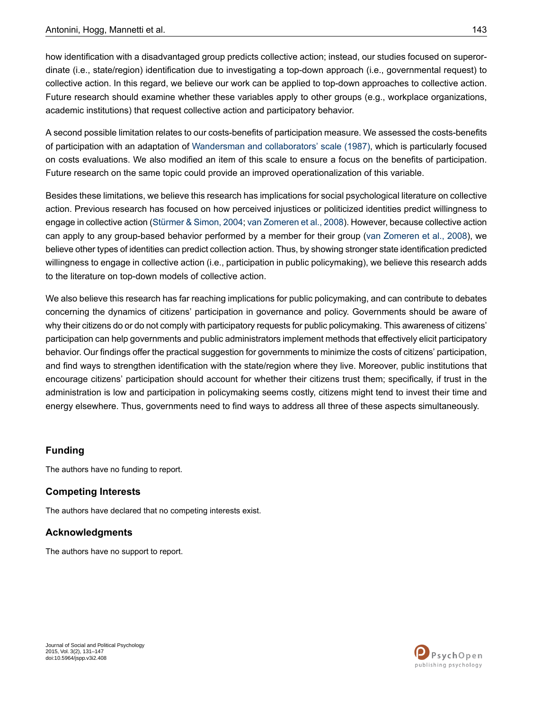how identification with a disadvantaged group predicts collective action; instead, our studies focused on superordinate (i.e., state/region) identification due to investigating a top-down approach (i.e., governmental request) to collective action. In this regard, we believe our work can be applied to top-down approaches to collective action. Future research should examine whether these variables apply to other groups (e.g., workplace organizations, academic institutions) that request collective action and participatory behavior.

A second possible limitation relates to our costs-benefits of participation measure. We assessed the costs-benefits of participation with an adaptation of Wandersman and [collaborators'](#page-16-14) scale (1987), which is particularly focused on costs evaluations. We also modified an item of this scale to ensure a focus on the benefits of participation. Future research on the same topic could provide an improved operationalization of this variable.

Besides these limitations, we believe this research has implications for social psychological literature on collective action. Previous research has focused on how perceived injustices or politicized identities predict willingness to engage in collective action ([Stürmer](#page-15-6) & Simon, 2004; van [Zomeren](#page-16-2) et al., 2008). However, because collective action can apply to any group-based behavior performed by a member for their group (van [Zomeren](#page-16-2) et al., 2008), we believe other types of identities can predict collection action. Thus, by showing stronger state identification predicted willingness to engage in collective action (i.e., participation in public policymaking), we believe this research adds to the literature on top-down models of collective action.

We also believe this research has far reaching implications for public policymaking, and can contribute to debates concerning the dynamics of citizens' participation in governance and policy. Governments should be aware of why their citizens do or do not comply with participatory requests for public policymaking. This awareness of citizens' participation can help governments and public administrators implement methods that effectively elicit participatory behavior. Our findings offer the practical suggestion for governments to minimize the costs of citizens' participation, and find ways to strengthen identification with the state/region where they live. Moreover, public institutions that encourage citizens' participation should account for whether their citizens trust them; specifically, if trust in the administration is low and participation in policymaking seems costly, citizens might tend to invest their time and energy elsewhere. Thus, governments need to find ways to address all three of these aspects simultaneously.

## **Funding**

The authors have no funding to report.

## **Competing Interests**

The authors have declared that no competing interests exist.

## **Acknowledgments**

The authors have no support to report.

Journal of Social and Political Psychology 2015, Vol. 3(2), 131–147 doi:10.5964/jspp.v3i2.408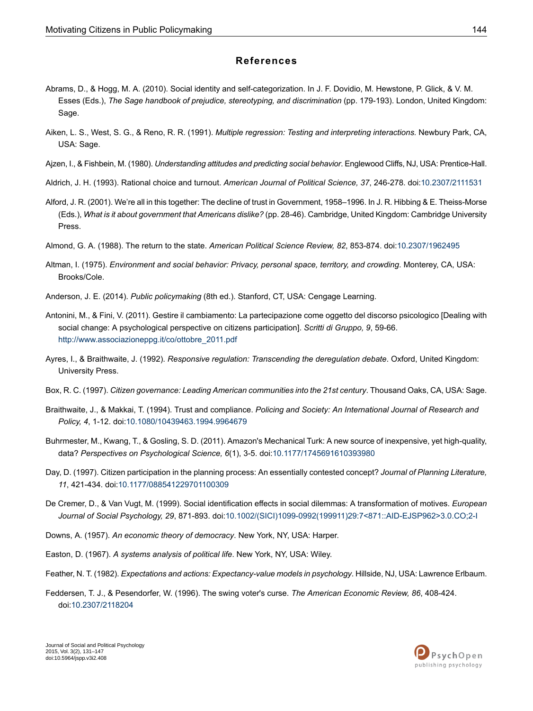### **References**

- <span id="page-13-10"></span>Abrams, D., & Hogg, M. A. (2010). Social identity and self-categorization. In J. F. Dovidio, M. Hewstone, P. Glick, & V. M. Esses (Eds.), *The Sage handbook of prejudice, stereotyping, and discrimination* (pp. 179-193). London, United Kingdom: Sage.
- <span id="page-13-18"></span><span id="page-13-8"></span>Aiken, L. S., West, S. G., & Reno, R. R. (1991). *Multiple regression: Testing and interpreting interactions.* Newbury Park, CA, USA: Sage.
- <span id="page-13-5"></span>Ajzen, I., & Fishbein, M. (1980). *Understanding attitudes and predicting social behavior*. Englewood Cliffs, NJ, USA: Prentice-Hall.
- <span id="page-13-2"></span>Aldrich, J. H. (1993). Rational choice and turnout. *American Journal of Political Science, 37*, 246-278. doi[:10.2307/2111531](http://dx.doi.org/10.2307%2F2111531)
- <span id="page-13-16"></span>Alford, J. R. (2001). We're all in this together: The decline of trust in Government, 1958–1996. In J. R. Hibbing & E. Theiss-Morse (Eds.), *What is it about government that Americans dislike?* (pp. 28-46). Cambridge, United Kingdom: Cambridge University Press.
- <span id="page-13-11"></span>Almond, G. A. (1988). The return to the state. *American Political Science Review, 82*, 853-874. doi:[10.2307/1962495](http://dx.doi.org/10.2307%2F1962495)
- <span id="page-13-3"></span>Altman, I. (1975). *Environment and social behavior: Privacy, personal space, territory, and crowding*. Monterey, CA, USA: Brooks/Cole.
- <span id="page-13-4"></span>Anderson, J. E. (2014). *Public policymaking* (8th ed.). Stanford, CT, USA: Cengage Learning.
- <span id="page-13-13"></span>Antonini, M., & Fini, V. (2011). Gestire il cambiamento: La partecipazione come oggetto del discorso psicologico [Dealing with social change: A psychological perspective on citizens participation]. *Scritti di Gruppo, 9*, 59-66. [http://www.associazioneppg.it/co/ottobre\\_2011.pdf](http://www.associazioneppg.it/co/ottobre_2011.pdf)
- <span id="page-13-14"></span><span id="page-13-1"></span>Ayres, I., & Braithwaite, J. (1992). *Responsive regulation: Transcending the deregulation debate*. Oxford, United Kingdom: University Press.
- <span id="page-13-17"></span>Box, R. C. (1997). *Citizen governance: Leading American communities into the 21st century*. Thousand Oaks, CA, USA: Sage.
- <span id="page-13-0"></span>Braithwaite, J., & Makkai, T. (1994). Trust and compliance. *Policing and Society: An International Journal of Research and Policy, 4*, 1-12. doi:[10.1080/10439463.1994.9964679](http://dx.doi.org/10.1080%2F10439463.1994.9964679)
- <span id="page-13-12"></span>Buhrmester, M., Kwang, T., & Gosling, S. D. (2011). Amazon's Mechanical Turk: A new source of inexpensive, yet high-quality, data? *Perspectives on Psychological Science, 6*(1), 3-5. doi:[10.1177/1745691610393980](http://dx.doi.org/10.1177%2F1745691610393980)
- <span id="page-13-6"></span>Day, D. (1997). Citizen participation in the planning process: An essentially contested concept? *Journal of Planning Literature, 11*, 421-434. doi[:10.1177/088541229701100309](http://dx.doi.org/10.1177%2F088541229701100309)
- <span id="page-13-15"></span><span id="page-13-9"></span>De Cremer, D., & Van Vugt, M. (1999). Social identification effects in social dilemmas: A transformation of motives. *European Journal of Social Psychology, 29*, 871-893. doi[:10.1002/\(SICI\)1099-0992\(199911\)29:7<871::AID-EJSP962>3.0.CO;2-I](http://dx.doi.org/10.1002%2F%28SICI%291099-0992%28199911%2929%3A7%3C871%3A%3AAID-EJSP962%3E3.0.CO%3B2-I)
- <span id="page-13-7"></span>Downs, A. (1957). *An economic theory of democracy*. New York, NY, USA: Harper.
- Easton, D. (1967). *A systems analysis of political life*. New York, NY, USA: Wiley.
- Feather, N. T. (1982). *Expectations and actions: Expectancy-value models in psychology*. Hillside, NJ, USA: Lawrence Erlbaum.
- Feddersen, T. J., & Pesendorfer, W. (1996). The swing voter's curse. *The American Economic Review, 86*, 408-424. doi:[10.2307/2118204](http://dx.doi.org/10.2307%2F2118204)

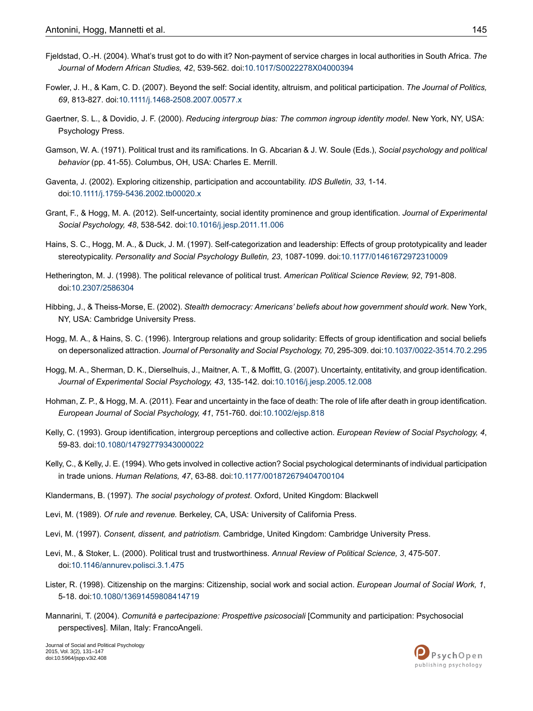- <span id="page-14-9"></span>Fjeldstad, O.-H. (2004). What's trust got to do with it? Non-payment of service charges in local authorities in South Africa. *The Journal of Modern African Studies, 42*, 539-562. doi[:10.1017/S0022278X04000394](http://dx.doi.org/10.1017%2FS0022278X04000394)
- <span id="page-14-3"></span>Fowler, J. H., & Kam, C. D. (2007). Beyond the self: Social identity, altruism, and political participation. *The Journal of Politics, 69*, 813-827. doi:[10.1111/j.1468-2508.2007.00577.x](http://dx.doi.org/10.1111%2Fj.1468-2508.2007.00577.x)
- <span id="page-14-11"></span><span id="page-14-6"></span>Gaertner, S. L., & Dovidio, J. F. (2000). *Reducing intergroup bias: The common ingroup identity model*. New York, NY, USA: Psychology Press.
- <span id="page-14-7"></span>Gamson, W. A. (1971). Political trust and its ramifications. In G. Abcarian & J. W. Soule (Eds.), *Social psychology and political behavior* (pp. 41-55). Columbus, OH, USA: Charles E. Merrill.
- <span id="page-14-15"></span>Gaventa, J. (2002). Exploring citizenship, participation and accountability. *IDS Bulletin, 33*, 1-14. doi:[10.1111/j.1759-5436.2002.tb00020.x](http://dx.doi.org/10.1111%2Fj.1759-5436.2002.tb00020.x)
- <span id="page-14-16"></span>Grant, F., & Hogg, M. A. (2012). Self-uncertainty, social identity prominence and group identification. *Journal of Experimental Social Psychology, 48*, 538-542. doi[:10.1016/j.jesp.2011.11.006](http://dx.doi.org/10.1016%2Fj.jesp.2011.11.006)
- <span id="page-14-10"></span>Hains, S. C., Hogg, M. A., & Duck, J. M. (1997). Self-categorization and leadership: Effects of group prototypicality and leader stereotypicality. *Personality and Social Psychology Bulletin, 23*, 1087-1099. doi:[10.1177/01461672972310009](http://dx.doi.org/10.1177%2F01461672972310009)
- <span id="page-14-1"></span>Hetherington, M. J. (1998). The political relevance of political trust. *American Political Science Review, 92*, 791-808. doi:[10.2307/2586304](http://dx.doi.org/10.2307%2F2586304)
- <span id="page-14-17"></span>Hibbing, J., & Theiss-Morse, E. (2002). *Stealth democracy: Americans' beliefs about how government should work*. New York, NY, USA: Cambridge University Press.
- <span id="page-14-18"></span>Hogg, M. A., & Hains, S. C. (1996). Intergroup relations and group solidarity: Effects of group identification and social beliefs on depersonalized attraction. *Journal of Personality and Social Psychology, 70*, 295-309. doi:[10.1037/0022-3514.70.2.295](http://dx.doi.org/10.1037%2F0022-3514.70.2.295)
- <span id="page-14-19"></span>Hogg, M. A., Sherman, D. K., Dierselhuis, J., Maitner, A. T., & Moffitt, G. (2007). Uncertainty, entitativity, and group identification. *Journal of Experimental Social Psychology, 43*, 135-142. doi:[10.1016/j.jesp.2005.12.008](http://dx.doi.org/10.1016%2Fj.jesp.2005.12.008)
- <span id="page-14-5"></span><span id="page-14-4"></span>Hohman, Z. P., & Hogg, M. A. (2011). Fear and uncertainty in the face of death: The role of life after death in group identification. *European Journal of Social Psychology, 41*, 751-760. doi:[10.1002/ejsp.818](http://dx.doi.org/10.1002%2Fejsp.818)
- <span id="page-14-2"></span>Kelly, C. (1993). Group identification, intergroup perceptions and collective action. *European Review of Social Psychology, 4*, 59-83. doi:[10.1080/14792779343000022](http://dx.doi.org/10.1080%2F14792779343000022)
- <span id="page-14-13"></span><span id="page-14-12"></span>Kelly, C., & Kelly, J. E. (1994). Who gets involved in collective action? Social psychological determinants of individual participation in trade unions. *Human Relations, 47*, 63-88. doi:[10.1177/001872679404700104](http://dx.doi.org/10.1177%2F001872679404700104)
- <span id="page-14-14"></span>Klandermans, B. (1997). *The social psychology of protest*. Oxford, United Kingdom: Blackwell
- Levi, M. (1989). *Of rule and revenue.* Berkeley, CA, USA: University of California Press.
- <span id="page-14-0"></span>Levi, M. (1997). *Consent, dissent, and patriotism.* Cambridge, United Kingdom: Cambridge University Press.
- <span id="page-14-8"></span>Levi, M., & Stoker, L. (2000). Political trust and trustworthiness. *Annual Review of Political Science, 3*, 475-507. doi:[10.1146/annurev.polisci.3.1.475](http://dx.doi.org/10.1146%2Fannurev.polisci.3.1.475)
- Lister, R. (1998). Citizenship on the margins: Citizenship, social work and social action. *European Journal of Social Work, 1*, 5-18. doi:[10.1080/13691459808414719](http://dx.doi.org/10.1080%2F13691459808414719)
- Mannarini, T. (2004). *Comunità e partecipazione: Prospettive psicosociali* [Community and participation: Psychosocial perspectives]. Milan, Italy: FrancoAngeli.

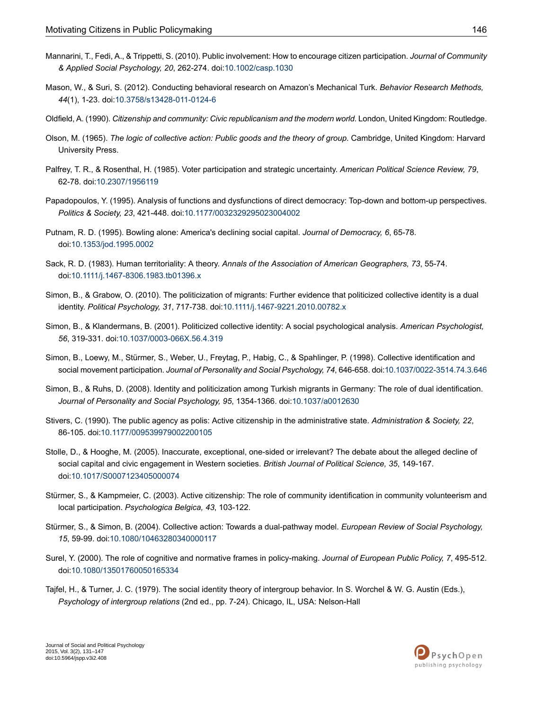- <span id="page-15-0"></span>Mannarini, T., Fedi, A., & Trippetti, S. (2010). Public involvement: How to encourage citizen participation. *Journal of Community & Applied Social Psychology, 20*, 262-274. doi[:10.1002/casp.1030](http://dx.doi.org/10.1002%2Fcasp.1030)
- <span id="page-15-17"></span>Mason, W., & Suri, S. (2012). Conducting behavioral research on Amazon's Mechanical Turk. *Behavior Research Methods, 44*(1), 1-23. doi:[10.3758/s13428-011-0124-6](http://dx.doi.org/10.3758%2Fs13428-011-0124-6)
- <span id="page-15-9"></span><span id="page-15-1"></span>Oldfield, A. (1990). *Citizenship and community: Civic republicanism and the modern world*. London, United Kingdom: Routledge.
- <span id="page-15-8"></span>Olson, M. (1965). *The logic of collective action: Public goods and the theory of group*. Cambridge, United Kingdom: Harvard University Press.
- <span id="page-15-5"></span>Palfrey, T. R., & Rosenthal, H. (1985). Voter participation and strategic uncertainty. *American Political Science Review, 79*, 62-78. doi:[10.2307/1956119](http://dx.doi.org/10.2307%2F1956119)
- <span id="page-15-3"></span>Papadopoulos, Y. (1995). Analysis of functions and dysfunctions of direct democracy: Top-down and bottom-up perspectives. *Politics & Society, 23*, 421-448. doi:[10.1177/0032329295023004002](http://dx.doi.org/10.1177%2F0032329295023004002)
- <span id="page-15-15"></span>Putnam, R. D. (1995). Bowling alone: America's declining social capital. *Journal of Democracy, 6*, 65-78. doi:[10.1353/jod.1995.0002](http://dx.doi.org/10.1353%2Fjod.1995.0002)
- <span id="page-15-13"></span>Sack, R. D. (1983). Human territoriality: A theory. *Annals of the Association of American Geographers, 73*, 55-74. doi:[10.1111/j.1467-8306.1983.tb01396.x](http://dx.doi.org/10.1111%2Fj.1467-8306.1983.tb01396.x)
- <span id="page-15-12"></span>Simon, B., & Grabow, O. (2010). The politicization of migrants: Further evidence that politicized collective identity is a dual identity. *Political Psychology, 31*, 717-738. doi[:10.1111/j.1467-9221.2010.00782.x](http://dx.doi.org/10.1111%2Fj.1467-9221.2010.00782.x)
- <span id="page-15-10"></span>Simon, B., & Klandermans, B. (2001). Politicized collective identity: A social psychological analysis. *American Psychologist, 56*, 319-331. doi:[10.1037/0003-066X.56.4.319](http://dx.doi.org/10.1037%2F0003-066X.56.4.319)
- <span id="page-15-14"></span>Simon, B., Loewy, M., Stürmer, S., Weber, U., Freytag, P., Habig, C., & Spahlinger, P. (1998). Collective identification and social movement participation. *Journal of Personality and Social Psychology, 74*, 646-658. doi[:10.1037/0022-3514.74.3.646](http://dx.doi.org/10.1037%2F0022-3514.74.3.646)
- <span id="page-15-2"></span>Simon, B., & Ruhs, D. (2008). Identity and politicization among Turkish migrants in Germany: The role of dual identification. *Journal of Personality and Social Psychology, 95*, 1354-1366. doi:[10.1037/a0012630](http://dx.doi.org/10.1037%2Fa0012630)
- <span id="page-15-4"></span>Stivers, C. (1990). The public agency as polis: Active citizenship in the administrative state. *Administration & Society, 22*, 86-105. doi:[10.1177/009539979002200105](http://dx.doi.org/10.1177%2F009539979002200105)
- <span id="page-15-16"></span><span id="page-15-6"></span>Stolle, D., & Hooghe, M. (2005). Inaccurate, exceptional, one-sided or irrelevant? The debate about the alleged decline of social capital and civic engagement in Western societies. *British Journal of Political Science, 35*, 149-167. doi:[10.1017/S0007123405000074](http://dx.doi.org/10.1017%2FS0007123405000074)
- <span id="page-15-7"></span>Stürmer, S., & Kampmeier, C. (2003). Active citizenship: The role of community identification in community volunteerism and local participation. *Psychologica Belgica, 43*, 103-122.
- <span id="page-15-11"></span>Stürmer, S., & Simon, B. (2004). Collective action: Towards a dual-pathway model. *European Review of Social Psychology, 15*, 59-99. doi:[10.1080/10463280340000117](http://dx.doi.org/10.1080%2F10463280340000117)
- Surel, Y. (2000). The role of cognitive and normative frames in policy-making. *Journal of European Public Policy, 7*, 495-512. doi:[10.1080/13501760050165334](http://dx.doi.org/10.1080%2F13501760050165334)
- Tajfel, H., & Turner, J. C. (1979). The social identity theory of intergroup behavior. In S. Worchel & W. G. Austin (Eds.), *Psychology of intergroup relations* (2nd ed., pp. 7-24). Chicago, IL, USA: Nelson-Hall